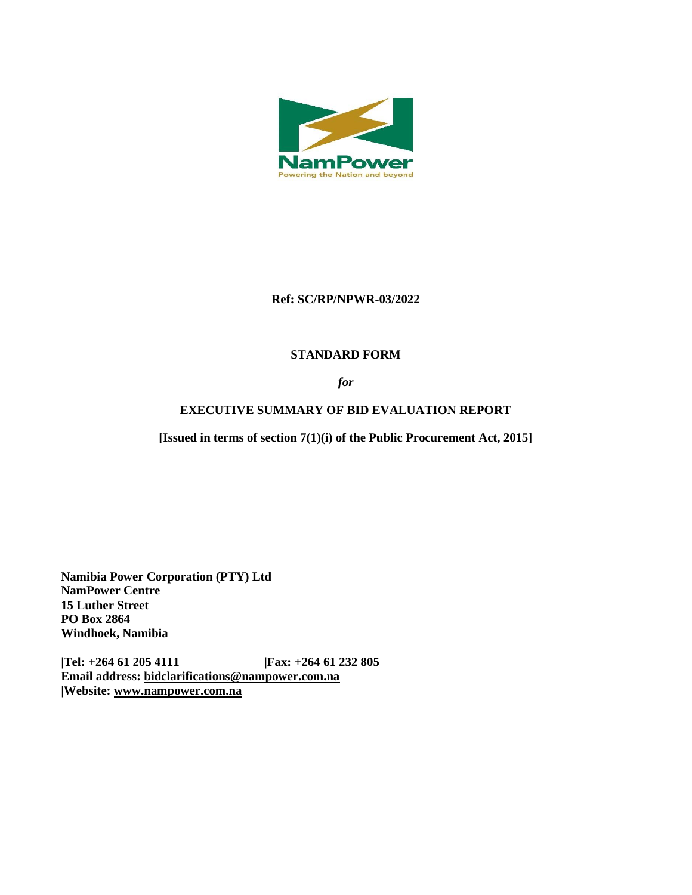

### **Ref: SC/RP/NPWR-03/2022**

## **STANDARD FORM**

*for*

# **EXECUTIVE SUMMARY OF BID EVALUATION REPORT**

**[Issued in terms of section 7(1)(i) of the Public Procurement Act, 2015]** 

**Namibia Power Corporation (PTY) Ltd NamPower Centre 15 Luther Street PO Box 2864 Windhoek, Namibia**

**|Tel: +264 61 205 4111 |Fax: +264 61 232 805 Email address: [bidclarifications@nampower.com.na](mailto:bidclarifications@nampower.com.na) |Website: [www.n](http://www./)ampower.com.na**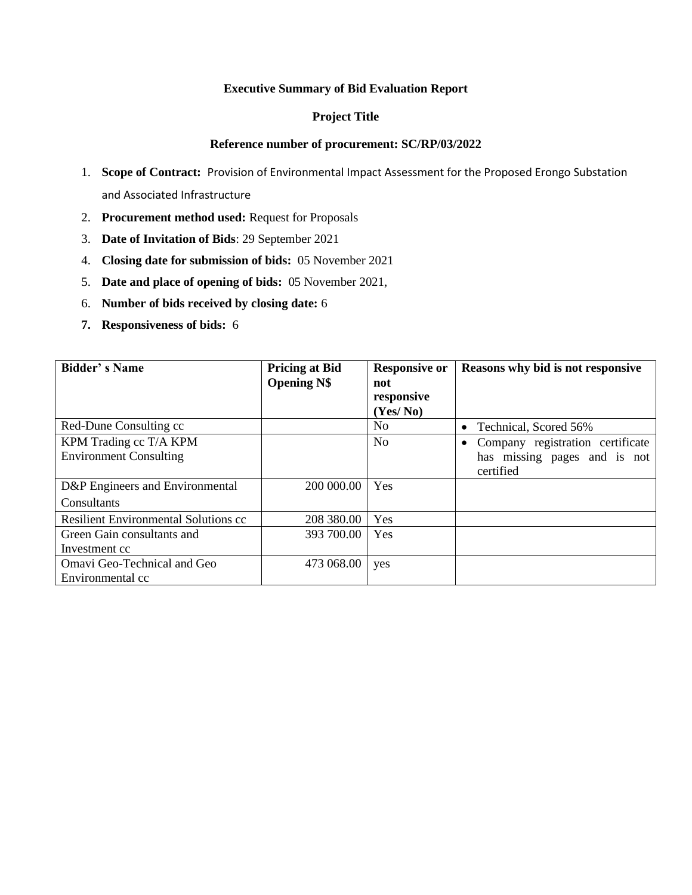#### **Executive Summary of Bid Evaluation Report**

### **Project Title**

#### **Reference number of procurement: SC/RP/03/2022**

- 1. **Scope of Contract:** Provision of Environmental Impact Assessment for the Proposed Erongo Substation and Associated Infrastructure
- 2. **Procurement method used:** Request for Proposals
- 3. **Date of Invitation of Bids**: 29 September 2021
- 4. **Closing date for submission of bids:** 05 November 2021
- 5. **Date and place of opening of bids:** 05 November 2021,
- 6. **Number of bids received by closing date:** 6
- **7. Responsiveness of bids:** 6

| <b>Bidder's Name</b>                 | <b>Pricing at Bid</b><br><b>Opening N\$</b> | <b>Responsive or</b><br>not | Reasons why bid is not responsive |  |
|--------------------------------------|---------------------------------------------|-----------------------------|-----------------------------------|--|
|                                      |                                             | responsive                  |                                   |  |
|                                      |                                             | (Yes/No)                    |                                   |  |
| Red-Dune Consulting cc               |                                             | N <sub>0</sub>              | • Technical, Scored 56%           |  |
| KPM Trading cc T/A KPM               |                                             | N <sub>0</sub>              | Company registration certificate  |  |
| <b>Environment Consulting</b>        |                                             |                             | has missing pages and is not      |  |
|                                      |                                             |                             | certified                         |  |
| D&P Engineers and Environmental      | 200 000.00                                  | Yes                         |                                   |  |
| Consultants                          |                                             |                             |                                   |  |
| Resilient Environmental Solutions cc | 208 380.00                                  | Yes                         |                                   |  |
| Green Gain consultants and           | 393 700.00                                  | Yes                         |                                   |  |
| Investment cc                        |                                             |                             |                                   |  |
| Omavi Geo-Technical and Geo          | 473 068.00                                  | yes                         |                                   |  |
| Environmental cc                     |                                             |                             |                                   |  |